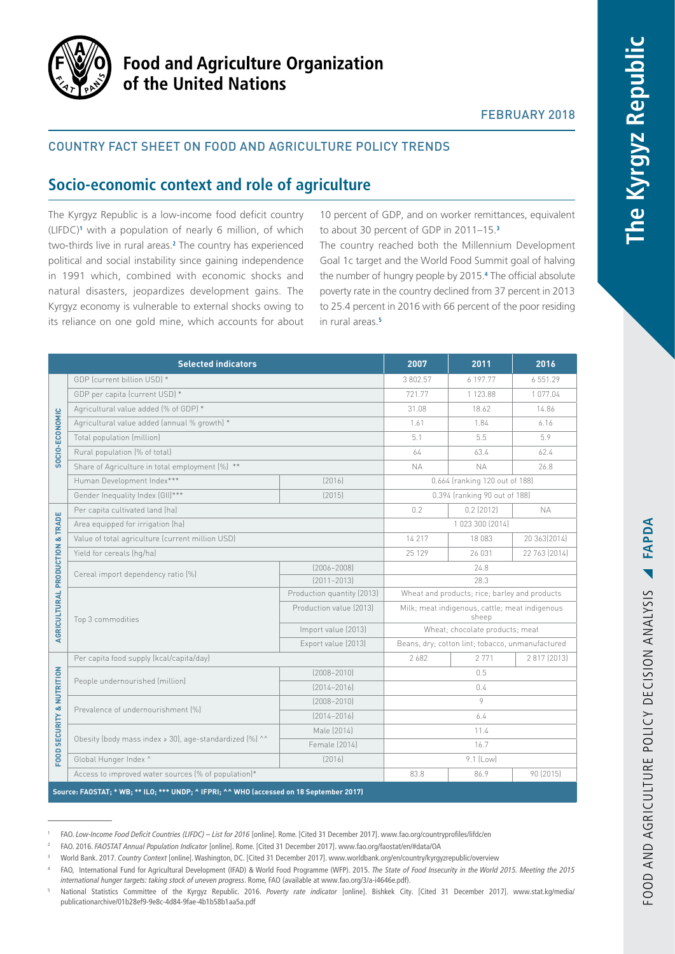

# **Food and Agriculture Organization** of the United Nations

## FEBRUARY 2018

## Country fact sheet on food and agriculture policy trends

# **Socio-economic context and role of agriculture**

The Kyrgyz Republic is a low-income food deficit country (LIFDC)**<sup>1</sup>** with a population of nearly 6 million, of which two-thirds live in rural areas.**<sup>2</sup>** The country has experienced political and social instability since gaining independence in 1991 which, combined with economic shocks and natural disasters, jeopardizes development gains. The Kyrgyz economy is vulnerable to external shocks owing to its reliance on one gold mine, which accounts for about 10 percent of GDP, and on worker remittances, equivalent to about 30 percent of GDP in 2011–15.**<sup>3</sup>**

The country reached both the Millennium Development Goal 1c target and the World Food Summit goal of halving the number of hungry people by 2015.**<sup>4</sup>** The official absolute poverty rate in the country declined from 37 percent in 2013 to 25.4 percent in 2016 with 66 percent of the poor residing in rural areas<sup>5</sup>

| <b>Selected indicators</b>                                                               |                                                         |                            | 2007                                                    | 2011         | 2016          |
|------------------------------------------------------------------------------------------|---------------------------------------------------------|----------------------------|---------------------------------------------------------|--------------|---------------|
| SOCIO-ECONOMIC                                                                           | GDP (current billion USD) *                             |                            | 3 802.57                                                | 6 197.77     | 6 551.29      |
|                                                                                          | GDP per capita (current USD) *                          |                            | 721.77                                                  | 1 1 2 3 .8 8 | 1077.04       |
|                                                                                          | Agricultural value added (% of GDP) *                   |                            | 31.08                                                   | 18.62        | 14.86         |
|                                                                                          | Agricultural value added (annual % growth) *            |                            | 1.61                                                    | 1.84         | 6.16          |
|                                                                                          | Total population (million)                              |                            | 5.1                                                     | 5.5          | 5.9           |
|                                                                                          | Rural population (% of total)                           |                            | 64                                                      | 63.4         | 62.4          |
|                                                                                          | Share of Agriculture in total employment [%] **         |                            | <b>NA</b>                                               | <b>NA</b>    | 26.8          |
|                                                                                          | Human Development Index***                              | [2016]                     | 0.664 (ranking 120 out of 188)                          |              |               |
|                                                                                          | Gender Inequality Index (GII)***                        | [2015]                     | 0.394 (ranking 90 out of 188)                           |              |               |
| AGRICULTURAL PRODUCTION & TRADE                                                          | Per capita cultivated land (ha)                         |                            | 0.2                                                     | $0.2$ (2012) | <b>NA</b>     |
|                                                                                          | Area equipped for irrigation (ha)                       |                            | 1 023 300 (2014)                                        |              |               |
|                                                                                          | Value of total agriculture (current million USD)        |                            | 14 217                                                  | 18 083       | 20 363 (2014) |
|                                                                                          | Yield for cereals (hq/ha)                               |                            | 25 129                                                  | 26 031       | 22 763 (2014) |
|                                                                                          | Cereal import dependency ratio (%)                      | $[2006 - 2008]$            | 24.8                                                    |              |               |
|                                                                                          |                                                         | $[2011 - 2013]$            | 28.3                                                    |              |               |
|                                                                                          | Top 3 commodities                                       | Production quantity (2013) | Wheat and products; rice; barley and products           |              |               |
|                                                                                          |                                                         | Production value (2013)    | Milk; meat indigenous, cattle; meat indigenous<br>sheep |              |               |
|                                                                                          |                                                         | Import value (2013)        | Wheat; chocolate products; meat                         |              |               |
|                                                                                          |                                                         | Export value (2013)        | Beans, dry; cotton lint; tobacco, unmanufactured        |              |               |
| <b>FOOD SECURITY &amp; NUTRITION</b>                                                     | Per capita food supply (kcal/capita/day)                |                            | 2682                                                    | 2 7 7 1      | 2 817 (2013)  |
|                                                                                          | People undernourished (million)                         | $[2008 - 2010]$            | 0.5                                                     |              |               |
|                                                                                          |                                                         | $[2014 - 2016]$            | 0.4                                                     |              |               |
|                                                                                          | Prevalence of undernourishment [%]                      | $(2008 - 2010)$            | 9                                                       |              |               |
|                                                                                          |                                                         | $[2014 - 2016]$            | 6.4                                                     |              |               |
|                                                                                          | Obesity (body mass index > 30), age-standardized (%) ^^ | Male (2014)                | 11.4                                                    |              |               |
|                                                                                          |                                                         | Female (2014)              | 16.7                                                    |              |               |
|                                                                                          | Global Hunger Index ^                                   | [2016]                     | 9.1 (Low)                                               |              |               |
|                                                                                          | Access to improved water sources (% of population)*     |                            | 83.8                                                    | 86.9         | 90 (2015)     |
| Source: FAOSTAT; * WB; ** ILO; *** UNDP; ^ IFPRI; ^^ WHO (accessed on 18 September 2017) |                                                         |                            |                                                         |              |               |

<sup>1</sup> FAO. *Low-Income Food Deficit Countries (LIFDC) – List for 2016* [online]. Rome. [Cited 31 December 2017].<www.fao.org/countryprofiles/lifdc/en> <sup>2</sup> FAO. 2016. *FAOSTAT Annual Population Indicator* [online]. Rome. [Cited 31 December 2017]. [www.fao.org/faostat/en/#data/OA](http://www.fao.org/faostat/en/#data/OA)

<sup>3</sup> World Bank. 2017. *Country Context* [online]. Washington, DC. [Cited 31 December 2017]. [www.worldbank.org/en/country/kyrgyzrepublic/overview](http://www.worldbank.org/en/country/kyrgyzrepublic/overview)

<sup>4</sup> FAO, International Fund for Agricultural Development (IFAD) & World Food Programme (WFP). 2015. *The State of Food Insecurity in the World 2015. Meeting the 2015 international hunger targets: taking stock of uneven progress*. Rome, FAO (available at [www.fao.org/3/a-i4646e.pdf\)](www.fao.org/3/a-i4646e.pdf).

<sup>5</sup> National Statistics Committee of the Kyrgyz Republic. 2016. *Poverty rate indicator* [online]. Bishkek City. [Cited 31 December 2017]. [www.stat.kg/media/](www.stat.kg/media/publicationarchive/01b28ef9-9e8c-4d84-9fae-4b1b58b1aa5a.pdf) [publicationarchive/01b28ef9-9e8c-4d84-9fae-4b1b58b1aa5a.pdf](www.stat.kg/media/publicationarchive/01b28ef9-9e8c-4d84-9fae-4b1b58b1aa5a.pdf)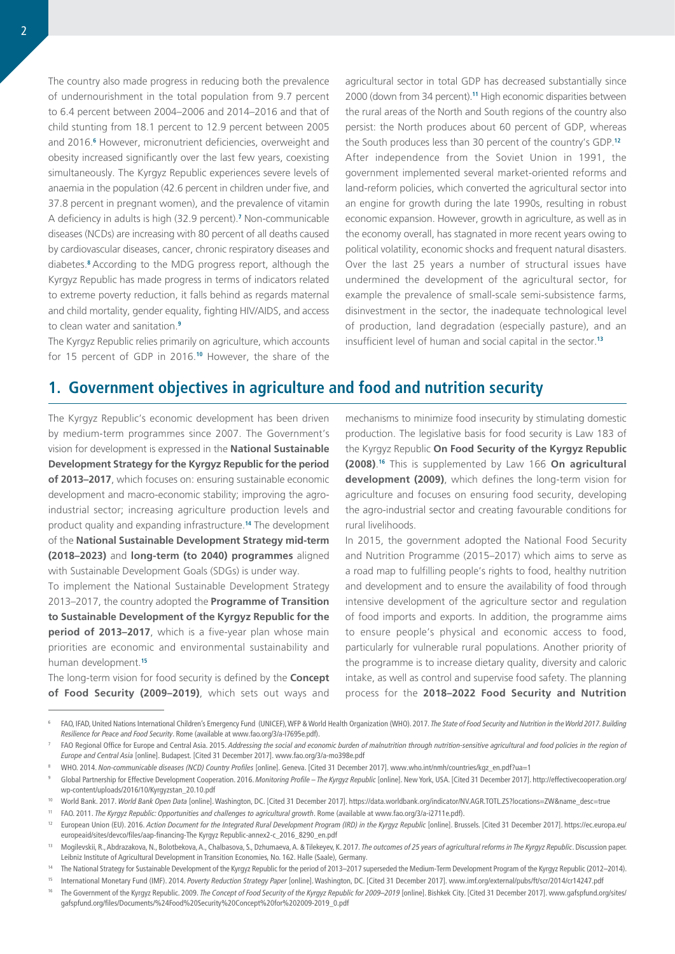The country also made progress in reducing both the prevalence of undernourishment in the total population from 9.7 percent to 6.4 percent between 2004–2006 and 2014–2016 and that of child stunting from 18.1 percent to 12.9 percent between 2005 and 2016.<sup>6</sup> However, micronutrient deficiencies, overweight and obesity increased significantly over the last few years, coexisting simultaneously. The Kyrgyz Republic experiences severe levels of anaemia in the population (42.6 percent in children under five, and 37.8 percent in pregnant women), and the prevalence of vitamin A deficiency in adults is high (32.9 percent).**<sup>7</sup>** Non-communicable diseases (NCDs) are increasing with 80 percent of all deaths caused by cardiovascular diseases, cancer, chronic respiratory diseases and diabetes.**<sup>8</sup>**According to the MDG progress report, although the Kyrgyz Republic has made progress in terms of indicators related to extreme poverty reduction, it falls behind as regards maternal and child mortality, gender equality, fighting HIV/AIDS, and access to clean water and sanitation.**<sup>9</sup>**

The Kyrgyz Republic relies primarily on agriculture, which accounts for 15 percent of GDP in 2016.**<sup>10</sup>** However, the share of the

agricultural sector in total GDP has decreased substantially since 2000 (down from 34 percent).**<sup>11</sup>** High economic disparities between the rural areas of the North and South regions of the country also persist: the North produces about 60 percent of GDP, whereas the South produces less than 30 percent of the country's GDP.**<sup>12</sup>** After independence from the Soviet Union in 1991, the government implemented several market-oriented reforms and land-reform policies, which converted the agricultural sector into an engine for growth during the late 1990s, resulting in robust economic expansion. However, growth in agriculture, as well as in the economy overall, has stagnated in more recent years owing to political volatility, economic shocks and frequent natural disasters. Over the last 25 years a number of structural issues have undermined the development of the agricultural sector, for example the prevalence of small-scale semi-subsistence farms, disinvestment in the sector, the inadequate technological level of production, land degradation (especially pasture), and an insufficient level of human and social capital in the sector.**<sup>13</sup>**

# **1. Government objectives in agriculture and food and nutrition security**

The Kyrgyz Republic's economic development has been driven by medium-term programmes since 2007. The Government's vision for development is expressed in the **National Sustainable Development Strategy for the Kyrgyz Republic for the period of 2013–2017**, which focuses on: ensuring sustainable economic development and macro-economic stability; improving the agroindustrial sector; increasing agriculture production levels and product quality and expanding infrastructure.**<sup>14</sup>** The development of the **National Sustainable Development Strategy mid-term (2018–2023)** and **long-term (to 2040) programmes** aligned with Sustainable Development Goals (SDGs) is under way.

To implement the National Sustainable Development Strategy 2013–2017, the country adopted the **Programme of Transition to Sustainable Development of the Kyrgyz Republic for the period of 2013–2017**, which is a five-year plan whose main priorities are economic and environmental sustainability and human development.**<sup>15</sup>**

The long-term vision for food security is defined by the **Concept of Food Security (2009–2019)**, which sets out ways and

mechanisms to minimize food insecurity by stimulating domestic production. The legislative basis for food security is Law 183 of the Kyrgyz Republic **On Food Security of the Kyrgyz Republic (2008)**. **<sup>16</sup>** This is supplemented by Law 166 **On agricultural development (2009)**, which defines the long-term vision for agriculture and focuses on ensuring food security, developing the agro-industrial sector and creating favourable conditions for rural livelihoods.

In 2015, the government adopted the National Food Security and Nutrition Programme (2015–2017) which aims to serve as a road map to fulfilling people's rights to food, healthy nutrition and development and to ensure the availability of food through intensive development of the agriculture sector and regulation of food imports and exports. In addition, the programme aims to ensure people's physical and economic access to food, particularly for vulnerable rural populations. Another priority of the programme is to increase dietary quality, diversity and caloric intake, as well as control and supervise food safety. The planning process for the **2018–2022 Food Security and Nutrition** 

<sup>6</sup> FAO, IFAD, United Nations International Children's Emergency Fund (UNICEF), WFP & World Health Organization (WHO). 2017. *The State of Food Security and Nutrition in the World 2017. Building Resilience for Peace and Food Security*. Rome (available at [www.fao.org/3/a-I7695e.pdf\)](www.fao.org/3/a-I7695e.pdf).

FAO Regional Office for Europe and Central Asia. 2015. Addressing the social and economic burden of malnutrition through nutrition-sensitive agricultural and food policies in the region of *Europe and Central Asia* [online]. Budapest. [Cited 31 December 2017]. <www.fao.org/3/a-mo398e.pdf>

<sup>8</sup> WHO. 2014. *Non-communicable diseases (NCD) Country Profiles* [online]. Geneva. [Cited 31 December 2017]. [www.who.int/nmh/countries/kgz\\_en.pdf](www.who.int/nmh/countries/kgz_en.pdf)?ua=1

<sup>9</sup> Global Partnership for Effective Development Cooperation. 2016. *Monitoring Profile – The Kyrgyz Republic* [online]. New York, USA. [Cited 31 December 2017]. [http://effectivecooperation.org/](http://effectivecooperation.org/wp-content/uploads/2016/10/Kyrgyzstan_20.10.pdf) [wp-content/uploads/2016/10/Kyrgyzstan\\_20.10.pdf](http://effectivecooperation.org/wp-content/uploads/2016/10/Kyrgyzstan_20.10.pdf) 

<sup>10</sup> World Bank. 2017. *World Bank Open Data* [online]. Washington, DC. [Cited 31 December 2017]. [https://data.worldbank.org/indicator/NV.AGR.TOTL.ZS?locations=ZW&name\\_desc=true](https://data.worldbank.org/indicator/NV.AGR.TOTL.ZS?locations=ZW&name_desc=true)

<sup>11</sup> FAO. 2011. *The Kyrgyz Republic: Opportunities and challenges to agricultural growth*. Rome (available at [www.fao.org/3/a-i2711e.pdf](http://www.fao.org/3/a-i2711e.pdf)).

<sup>&</sup>lt;sup>12</sup> European Union (EU). 2016. Action Document for the Integrated Rural Development Program (IRD) in the Kyrgyz Republic [online]. Brussels. [Cited 31 December 2017]. [https://ec.europa.eu/](https://ec.europa.eu/europeaid/sites/devco/files/aap-financing-kyrgyzstan-annex2-c_2016_8290_en.pdf) [europeaid/sites/devco/files/aap-financing-The Kyrgyz Republic-annex2-c\\_2016\\_8290\\_en.pdf](https://ec.europa.eu/europeaid/sites/devco/files/aap-financing-kyrgyzstan-annex2-c_2016_8290_en.pdf)

<sup>13</sup> Mogilevskii, R., Abdrazakova, N., Bolotbekova, A., Chalbasova, S., Dzhumaeva, A. & Tilekeyev, K. 2017. *The outcomes of 25 years of agricultural reforms in The Kyrgyz Republic*. Discussion paper. Leibniz Institute of Agricultural Development in Transition Economies, No. 162. Halle (Saale), Germany.

<sup>14</sup> The National Strategy for Sustainable Development of the Kyrgyz Republic for the period of 2013–2017 superseded the Medium-Term Development Program of the Kyrgyz Republic (2012–2014).

<sup>15</sup> International Monetary Fund (IMF). 2014. *Poverty Reduction Strategy Paper* [online]. Washington, DC. [Cited 31 December 2017]. [www.imf.org/external/pubs/ft/scr/2014/cr14247.pdf](https://www.imf.org/external/pubs/ft/scr/2014/cr14247.pdf)

<sup>16</sup> The Government of the Kyrgyz Republic. 2009. *The Concept of Food Security of the Kyrgyz Republic for 2009–2019* [online]. Bishkek City. [Cited 31 December 2017]. www.gafspfund.org/sites/ gafspfund.org/files/Documents/%24Food%20Security%20Concept%20for%202009-2019\_0.pdf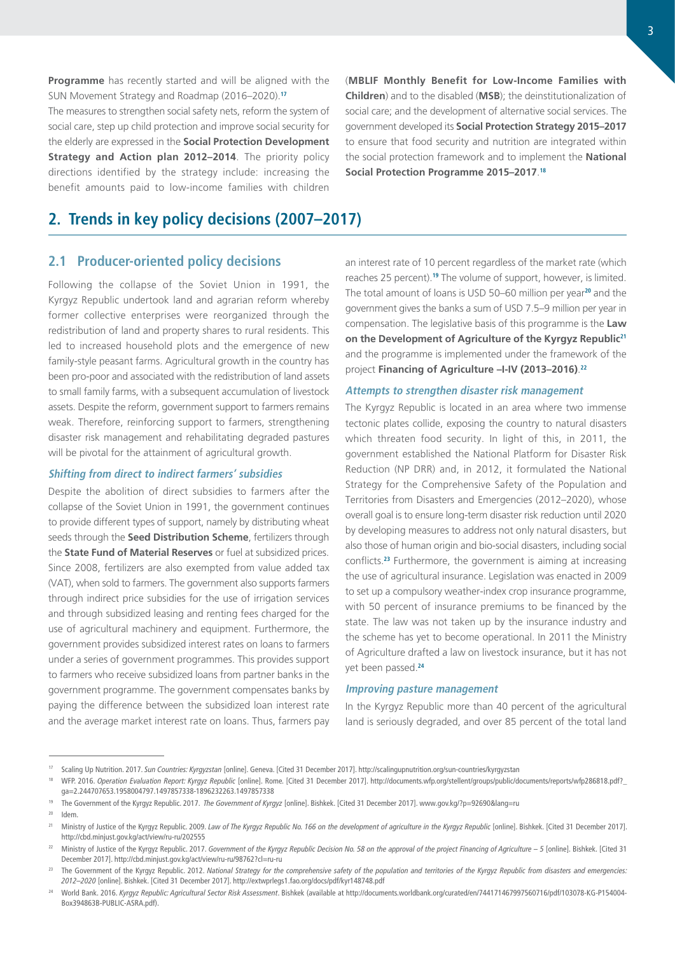**Programme** has recently started and will be aligned with the SUN Movement Strategy and Roadmap (2016–2020).**<sup>17</sup>**

The measures to strengthen social safety nets, reform the system of social care, step up child protection and improve social security for the elderly are expressed in the **Social Protection Development Strategy and Action plan 2012–2014**. The priority policy directions identified by the strategy include: increasing the benefit amounts paid to low-income families with children

**2. Trends in key policy decisions (2007–2017)**

## **2.1 Producer-oriented policy decisions**

Following the collapse of the Soviet Union in 1991, the Kyrgyz Republic undertook land and agrarian reform whereby former collective enterprises were reorganized through the redistribution of land and property shares to rural residents. This led to increased household plots and the emergence of new family-style peasant farms. Agricultural growth in the country has been pro-poor and associated with the redistribution of land assets to small family farms, with a subsequent accumulation of livestock assets. Despite the reform, government support to farmers remains weak. Therefore, reinforcing support to farmers, strengthening disaster risk management and rehabilitating degraded pastures will be pivotal for the attainment of agricultural growth.

#### **Shifting from direct to indirect farmers' subsidies**

Despite the abolition of direct subsidies to farmers after the collapse of the Soviet Union in 1991, the government continues to provide different types of support, namely by distributing wheat seeds through the **Seed Distribution Scheme**, fertilizers through the **State Fund of Material Reserves** or fuel at subsidized prices. Since 2008, fertilizers are also exempted from value added tax (VAT), when sold to farmers. The government also supports farmers through indirect price subsidies for the use of irrigation services and through subsidized leasing and renting fees charged for the use of agricultural machinery and equipment. Furthermore, the government provides subsidized interest rates on loans to farmers under a series of government programmes. This provides support to farmers who receive subsidized loans from partner banks in the government programme. The government compensates banks by paying the difference between the subsidized loan interest rate and the average market interest rate on loans. Thus, farmers pay

(**MBLIF Monthly Benefit for Low-Income Families with Children**) and to the disabled (**MSB**); the deinstitutionalization of social care; and the development of alternative social services. The government developed its **Social Protection Strategy 2015–2017** to ensure that food security and nutrition are integrated within the social protection framework and to implement the **National Social Protection Programme 2015–2017**. **18**

an interest rate of 10 percent regardless of the market rate (which reaches 25 percent).**<sup>19</sup>** The volume of support, however, is limited. The total amount of loans is USD 50–60 million per year**<sup>20</sup>** and the government gives the banks a sum of USD 7.5–9 million per year in compensation. The legislative basis of this programme is the **Law on the Development of Agriculture of the Kyrgyz Republic<sup>21</sup>** and the programme is implemented under the framework of the project **Financing of Agriculture –I-IV (2013–2016)**. **22**

#### **Attempts to strengthen disaster risk management**

The Kyrgyz Republic is located in an area where two immense tectonic plates collide, exposing the country to natural disasters which threaten food security. In light of this, in 2011, the government established the National Platform for Disaster Risk Reduction (NP DRR) and, in 2012, it formulated the National Strategy for the Comprehensive Safety of the Population and Territories from Disasters and Emergencies (2012–2020), whose overall goal is to ensure long-term disaster risk reduction until 2020 by developing measures to address not only natural disasters, but also those of human origin and bio-social disasters, including social conflicts.**<sup>23</sup>** Furthermore, the government is aiming at increasing the use of agricultural insurance. Legislation was enacted in 2009 to set up a compulsory weather-index crop insurance programme, with 50 percent of insurance premiums to be financed by the state. The law was not taken up by the insurance industry and the scheme has yet to become operational. In 2011 the Ministry of Agriculture drafted a law on livestock insurance, but it has not yet been passed.**<sup>24</sup>**

#### **Improving pasture management**

In the Kyrgyz Republic more than 40 percent of the agricultural land is seriously degraded, and over 85 percent of the total land

<sup>17</sup> Scaling Up Nutrition. 2017. *Sun Countries: Kyrgyzstan* [online]. Geneva. [Cited 31 December 2017].<http://scalingupnutrition.org/sun-countries/kyrgyzstan>

<sup>&</sup>lt;sup>18</sup> WFP. 2016. Operation Evaluation Report: Kyrgyz Republic [online]. Rome. [Cited 31 December 2017]. [http://documents.wfp.org/stellent/groups/public/documents/reports/wfp286818.pdf?\\_](http://documents.wfp.org/stellent/groups/public/documents/reports/wfp286818.pdf?_ga=2.244707653.1958004797.1497857338-1896232263.1497857338) [ga=2.244707653.1958004797.1497857338-1896232263.1497857338](http://documents.wfp.org/stellent/groups/public/documents/reports/wfp286818.pdf?_ga=2.244707653.1958004797.1497857338-1896232263.1497857338)

<sup>19</sup> The Government of the Kyrgyz Republic. 2017. *The Government of Kyrgyz* [online]. Bishkek. [Cited 31 December 2017]. [www.gov.kg/?p=92690&lang=ru](http://www.gov.kg/?p=92690&lang=ru)

Idem.

<sup>&</sup>lt;sup>21</sup> Ministry of Justice of the Kyrgyz Republic. 2009. *Law of The Kyrgyz Republic No. 166 on the development of agriculture in the Kyrgyz Republic [online]. Bishkek. [Cited 31 December 2017].* <http://cbd.minjust.gov.kg/act/view/ru-ru/202555>

<sup>&</sup>lt;sup>22</sup> Ministry of Justice of the Kyrgyz Republic. 2017. Government of the Kyrgyz Republic Decision No. 58 on the approval of the project Financing of Agriculture – 5 [online]. Bishkek. [Cited 31 December 2017]. <http://cbd.minjust.gov.kg/act/view/ru-ru/98762?cl=ru-ru>

<sup>&</sup>lt;sup>23</sup> The Government of the Kyrgyz Republic. 2012. National Strategy for the comprehensive safety of the population and territories of the Kyrgyz Republic from disasters and emergencies: *2012–2020* [online]. Bishkek. [Cited 31 December 2017]. <http://extwprlegs1.fao.org/docs/pdf/kyr148748.pdf>

<sup>24</sup> World Bank. 2016. *Kyrgyz Republic: Agricultural Sector Risk Assessment*. Bishkek (available at [http://documents.worldbank.org/curated/en/744171467997560716/pdf/103078-KG-P154004-](http://documents.worldbank.org/curated/en/744171467997560716/pdf/103078-KG-P154004-Box394863B-PUBLIC-ASRA.pdf) [Box394863B-PUBLIC-ASRA.pdf\)](http://documents.worldbank.org/curated/en/744171467997560716/pdf/103078-KG-P154004-Box394863B-PUBLIC-ASRA.pdf).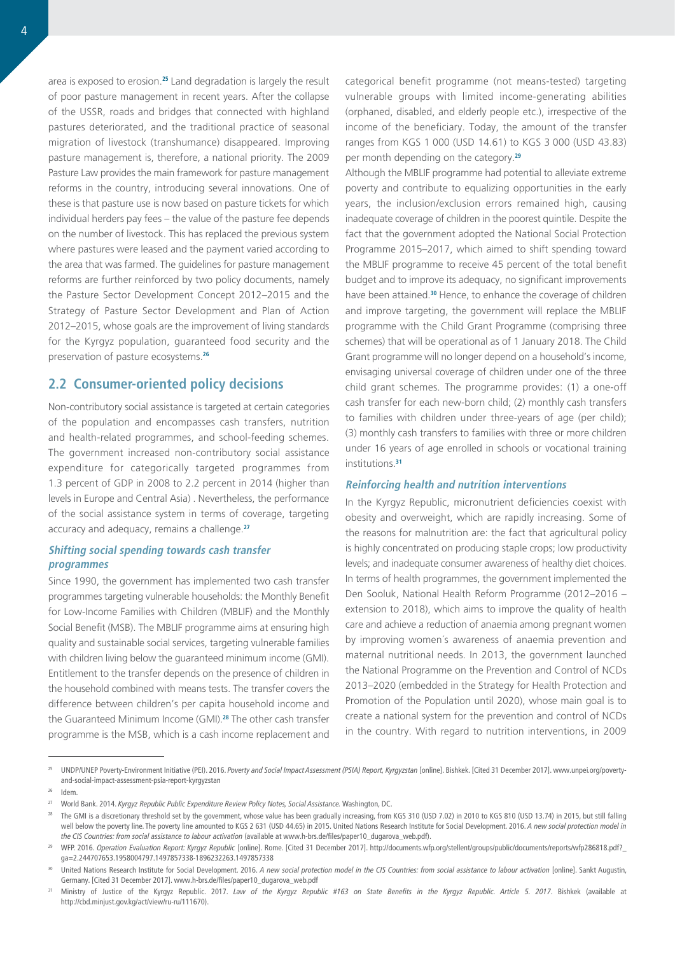area is exposed to erosion.**<sup>25</sup>** Land degradation is largely the result of poor pasture management in recent years. After the collapse of the USSR, roads and bridges that connected with highland pastures deteriorated, and the traditional practice of seasonal migration of livestock (transhumance) disappeared. Improving pasture management is, therefore, a national priority. The 2009 Pasture Law provides the main framework for pasture management reforms in the country, introducing several innovations. One of these is that pasture use is now based on pasture tickets for which individual herders pay fees – the value of the pasture fee depends on the number of livestock. This has replaced the previous system where pastures were leased and the payment varied according to the area that was farmed. The guidelines for pasture management reforms are further reinforced by two policy documents, namely the Pasture Sector Development Concept 2012–2015 and the Strategy of Pasture Sector Development and Plan of Action 2012–2015, whose goals are the improvement of living standards for the Kyrgyz population, guaranteed food security and the preservation of pasture ecosystems.**<sup>26</sup>**

## **2.2 Consumer-oriented policy decisions**

Non-contributory social assistance is targeted at certain categories of the population and encompasses cash transfers, nutrition and health-related programmes, and school-feeding schemes. The government increased non-contributory social assistance expenditure for categorically targeted programmes from 1.3 percent of GDP in 2008 to 2.2 percent in 2014 (higher than levels in Europe and Central Asia) . Nevertheless, the performance of the social assistance system in terms of coverage, targeting accuracy and adequacy, remains a challenge.**<sup>27</sup>**

## **Shifting social spending towards cash transfer programmes**

Since 1990, the government has implemented two cash transfer programmes targeting vulnerable households: the Monthly Benefit for Low-Income Families with Children (MBLIF) and the Monthly Social Benefit (MSB). The MBLIF programme aims at ensuring high quality and sustainable social services, targeting vulnerable families with children living below the guaranteed minimum income (GMI). Entitlement to the transfer depends on the presence of children in the household combined with means tests. The transfer covers the difference between children's per capita household income and the Guaranteed Minimum Income (GMI).**<sup>28</sup>** The other cash transfer programme is the MSB, which is a cash income replacement and

categorical benefit programme (not means-tested) targeting vulnerable groups with limited income-generating abilities (orphaned, disabled, and elderly people etc.), irrespective of the income of the beneficiary. Today, the amount of the transfer ranges from KGS 1 000 (USD 14.61) to KGS 3 000 (USD 43.83) per month depending on the category.**<sup>29</sup>**

Although the MBLIF programme had potential to alleviate extreme poverty and contribute to equalizing opportunities in the early years, the inclusion/exclusion errors remained high, causing inadequate coverage of children in the poorest quintile. Despite the fact that the government adopted the National Social Protection Programme 2015–2017, which aimed to shift spending toward the MBLIF programme to receive 45 percent of the total benefit budget and to improve its adequacy, no significant improvements have been attained.**<sup>30</sup>** Hence, to enhance the coverage of children and improve targeting, the government will replace the MBLIF programme with the Child Grant Programme (comprising three schemes) that will be operational as of 1 January 2018. The Child Grant programme will no longer depend on a household's income, envisaging universal coverage of children under one of the three child grant schemes. The programme provides: (1) a one-off cash transfer for each new-born child; (2) monthly cash transfers to families with children under three-years of age (per child); (3) monthly cash transfers to families with three or more children under 16 years of age enrolled in schools or vocational training institutions.**<sup>31</sup>**

#### **Reinforcing health and nutrition interventions**

In the Kyrgyz Republic, micronutrient deficiencies coexist with obesity and overweight, which are rapidly increasing. Some of the reasons for malnutrition are: the fact that agricultural policy is highly concentrated on producing staple crops; low productivity levels; and inadequate consumer awareness of healthy diet choices. In terms of health programmes, the government implemented the Den Sooluk, National Health Reform Programme (2012–2016 – extension to 2018), which aims to improve the quality of health care and achieve a reduction of anaemia among pregnant women by improving women´s awareness of anaemia prevention and maternal nutritional needs. In 2013, the government launched the National Programme on the Prevention and Control of NCDs 2013–2020 (embedded in the Strategy for Health Protection and Promotion of the Population until 2020), whose main goal is to create a national system for the prevention and control of NCDs in the country. With regard to nutrition interventions, in 2009

<sup>25</sup> UNDP/UNEP Poverty-Environment Initiative (PEI). 2016. *Poverty and Social Impact Assessment (PSIA) Report, Kyrgyzstan* [online]. Bishkek. [Cited 31 December 2017].<www.unpei.org/poverty>and-social-impact-assessment-psia-report-kyrgyzstan

 $26$  Idem

<sup>&</sup>lt;sup>27</sup> World Bank. 2014. *Kyrgyz Republic Public Expenditure Review Policy Notes, Social Assistance. Washington, DC.* 

<sup>&</sup>lt;sup>28</sup> The GMI is a discretionary threshold set by the government, whose value has been gradually increasing, from KGS 310 (USD 7.02) in 2010 to KGS 810 (USD 13.74) in 2015, but still falling well below the poverty line. The poverty line amounted to KGS 2 631 (USD 44.65) in 2015. United Nations Research Institute for Social Development. 2016. *A new social protection model in the CIS Countries: from social assistance to labour activation* (available at [www.h-brs.de/files/paper10\\_dugarova\\_web.pdf\)](https://www.h-brs.de/files/paper10_dugarova_web.pdf).

<sup>&</sup>lt;sup>29</sup> WFP. 2016. Operation Evaluation Report: Kyrgyz Republic [online]. Rome. [Cited 31 December 2017]. [http://documents.wfp.org/stellent/groups/public/documents/reports/wfp286818.pdf?\\_](http://documents.wfp.org/stellent/groups/public/documents/reports/wfp286818.pdf?_ga=2.244707653.1958004797.1497857338-1896232263.1497857338) [ga=2.244707653.1958004797.1497857338-1896232263.1497857338](http://documents.wfp.org/stellent/groups/public/documents/reports/wfp286818.pdf?_ga=2.244707653.1958004797.1497857338-1896232263.1497857338)

<sup>30</sup> United Nations Research Institute for Social Development. 2016. *A new social protection model in the CIS Countries: from social assistance to labour activation* [online]. Sankt Augustin, Germany. [Cited 31 December 2017]. [www.h-brs.de/files/paper10\\_dugarova\\_web.pdf](https://www.h-brs.de/files/paper10_dugarova_web.pdf)

<sup>31</sup> Ministry of Justice of the Kyrgyz Republic. 2017. *Law of the Kyrgyz Republic #163 on State Benefits in the Kyrgyz Republic. Article 5. 2017*. Bishkek (available at [http://cbd.minjust.gov.kg/act/view/ru-ru/111670\)](http://cbd.minjust.gov.kg/act/view/ru-ru/111670).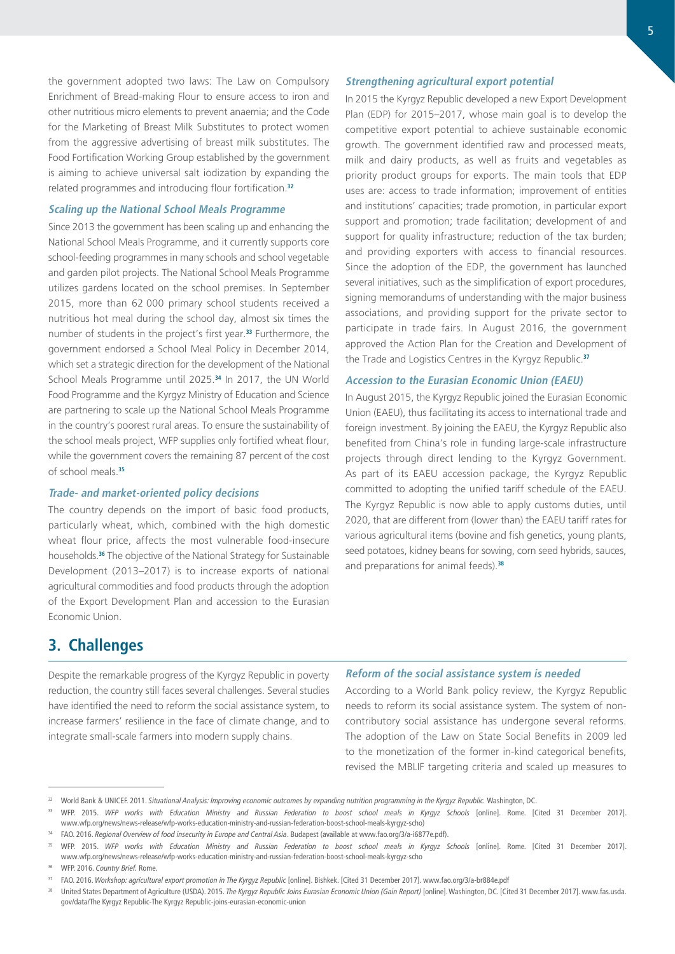the government adopted two laws: The Law on Compulsory Enrichment of Bread-making Flour to ensure access to iron and other nutritious micro elements to prevent anaemia; and the Code for the Marketing of Breast Milk Substitutes to protect women from the aggressive advertising of breast milk substitutes. The Food Fortification Working Group established by the government is aiming to achieve universal salt iodization by expanding the related programmes and introducing flour fortification.**<sup>32</sup>**

### **Scaling up the National School Meals Programme**

Since 2013 the government has been scaling up and enhancing the National School Meals Programme, and it currently supports core school-feeding programmes in many schools and school vegetable and garden pilot projects. The National School Meals Programme utilizes gardens located on the school premises. In September 2015, more than 62 000 primary school students received a nutritious hot meal during the school day, almost six times the number of students in the project's first year.**<sup>33</sup>** Furthermore, the government endorsed a School Meal Policy in December 2014, which set a strategic direction for the development of the National School Meals Programme until 2025.**<sup>34</sup>** In 2017, the UN World Food Programme and the Kyrgyz Ministry of Education and Science are partnering to scale up the National School Meals Programme in the country's poorest rural areas. To ensure the sustainability of the school meals project, WFP supplies only fortified wheat flour, while the government covers the remaining 87 percent of the cost of school meals.**<sup>35</sup>**

### **Trade- and market-oriented policy decisions**

The country depends on the import of basic food products, particularly wheat, which, combined with the high domestic wheat flour price, affects the most vulnerable food-insecure households.**<sup>36</sup>** The objective of the National Strategy for Sustainable Development (2013–2017) is to increase exports of national agricultural commodities and food products through the adoption of the Export Development Plan and accession to the Eurasian Economic Union.

## **Strengthening agricultural export potential**

In 2015 the Kyrgyz Republic developed a new Export Development Plan (EDP) for 2015–2017, whose main goal is to develop the competitive export potential to achieve sustainable economic growth. The government identified raw and processed meats, milk and dairy products, as well as fruits and vegetables as priority product groups for exports. The main tools that EDP uses are: access to trade information; improvement of entities and institutions' capacities; trade promotion, in particular export support and promotion; trade facilitation; development of and support for quality infrastructure; reduction of the tax burden; and providing exporters with access to financial resources. Since the adoption of the EDP, the government has launched several initiatives, such as the simplification of export procedures, signing memorandums of understanding with the major business associations, and providing support for the private sector to participate in trade fairs. In August 2016, the government approved the Action Plan for the Creation and Development of the Trade and Logistics Centres in the Kyrgyz Republic.**<sup>37</sup>**

#### **Accession to the Eurasian Economic Union (EAEU)**

In August 2015, the Kyrgyz Republic joined the Eurasian Economic Union (EAEU), thus facilitating its access to international trade and foreign investment. By joining the EAEU, the Kyrgyz Republic also benefited from China's role in funding large-scale infrastructure projects through direct lending to the Kyrgyz Government. As part of its EAEU accession package, the Kyrgyz Republic committed to adopting the unified tariff schedule of the EAEU. The Kyrgyz Republic is now able to apply customs duties, until 2020, that are different from (lower than) the EAEU tariff rates for various agricultural items (bovine and fish genetics, young plants, seed potatoes, kidney beans for sowing, corn seed hybrids, sauces, and preparations for animal feeds).**<sup>38</sup>**

# **3. Challenges**

Despite the remarkable progress of the Kyrgyz Republic in poverty reduction, the country still faces several challenges. Several studies have identified the need to reform the social assistance system, to increase farmers' resilience in the face of climate change, and to integrate small-scale farmers into modern supply chains.

#### **Reform of the social assistance system is needed**

According to a World Bank policy review, the Kyrgyz Republic needs to reform its social assistance system. The system of noncontributory social assistance has undergone several reforms. The adoption of the Law on State Social Benefits in 2009 led to the monetization of the former in-kind categorical benefits, revised the MBLIF targeting criteria and scaled up measures to

<sup>&</sup>lt;sup>32</sup> World Bank & UNICEF. 2011. Situational Analysis: Improving economic outcomes by expanding nutrition programming in the Kyrgyz Republic. Washington, DC.

<sup>&</sup>lt;sup>33</sup> WFP. 2015. WFP works with Education Ministry and Russian Federation to boost school meals in Kyrgyz Schools [online]. Rome. [Cited 31 December 2017]. [www.wfp.org/news/news-release/wfp-works-education-ministry-and-russian-federation-boost-school-meals-kyrgyz-scho\)](https://www.wfp.org/news/news-release/wfp-works-education-ministry-and-russian-federation-boost-school-meals-kyrgyz-scho)

<sup>34</sup> FAO. 2016. *Regional Overview of food insecurity in Europe and Central Asia*. Budapest (available at [www.fao.org/3/a-i6877e.pdf](http://www.fao.org/3/a-i6877e.pdf)).

<sup>35</sup> WFP. 2015. *WFP works with Education Ministry and Russian Federation to boost school meals in Kyrgyz Schools* [online]. Rome. [Cited 31 December 2017]. [www.wfp.org/news/news-release/wfp-works-education-ministry-and-russian-federation-boost-school-meals-kyrgyz-scho](https://www.wfp.org/news/news-release/wfp-works-education-ministry-and-russian-federation-boost-school-meals-kyrgyz-scho)

<sup>36</sup> WFP. 2016. *Country Brief.* Rome.

<sup>&</sup>lt;sup>37</sup> FAO. 2016. Workshop: agricultural export promotion in The Kyrgyz Republic [online]. Bishkek. [Cited 31 December 2017]. [www.fao.org/3/a-br884e.pdf](http://www.fao.org/3/a-br884e.pdf)

United States Department of Agriculture (USDA). 2015. The Kyrgyz Republic Joins Eurasian Economic Union (Gain Report) [online]. Washington, DC. [Cited 31 December 2017]. [www.fas.usda.](https://www.fas.usda.gov/data/kyrgyzstan-kyrgyzstan-joins-eurasian-economic-union) [gov/data/The Kyrgyz Republic-The Kyrgyz Republic-joins-eurasian-economic-union](https://www.fas.usda.gov/data/kyrgyzstan-kyrgyzstan-joins-eurasian-economic-union)